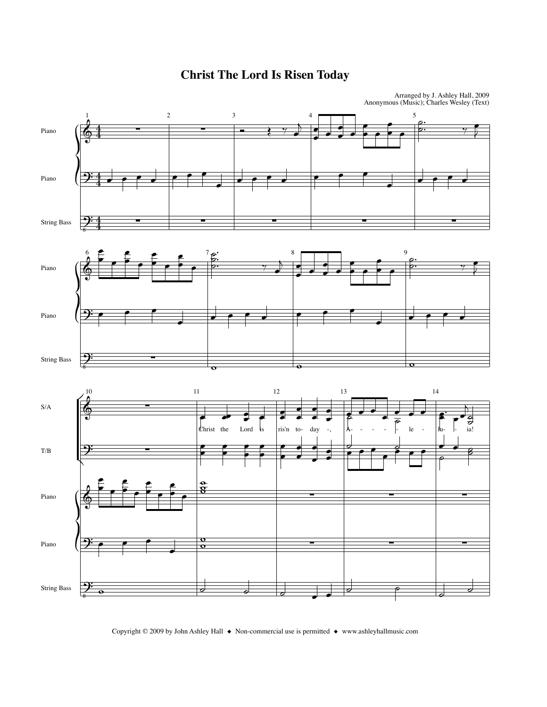

**Christ The Lord Is Risen Today** 

Copyright  $@$  2009 by John Ashley Hall  $\blacklozenge$  Non-commercial use is permitted  $\blacklozenge$  www.ashleyhallmusic.com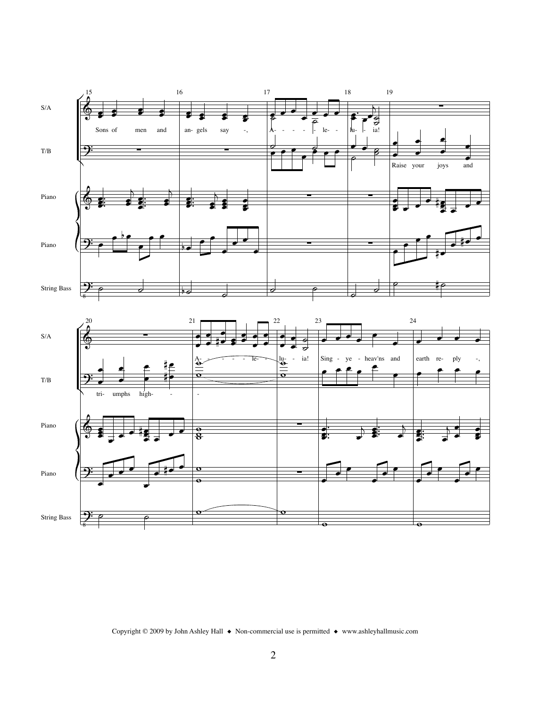

Copyright © 2009 by John Ashley Hall  $\bullet$  Non-commercial use is permitted  $\bullet$  www.ashleyhallmusic.com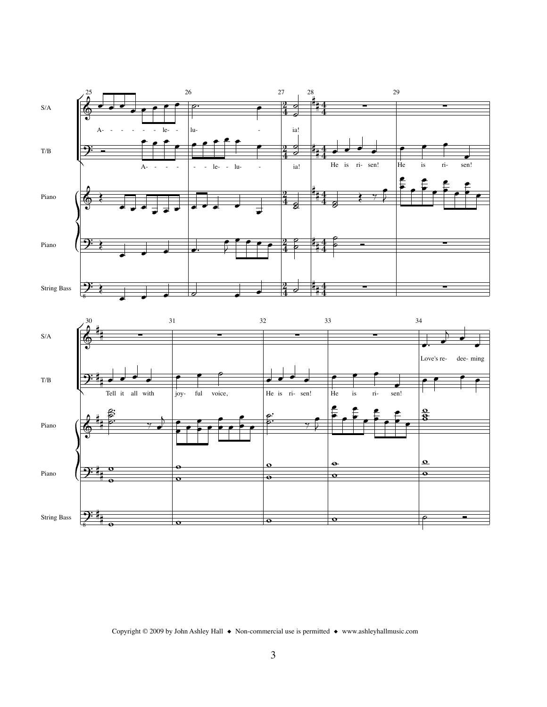



Copyright © 2009 by John Ashley Hall ◆ Non-commercial use is permitted ◆ www.ashleyhallmusic.com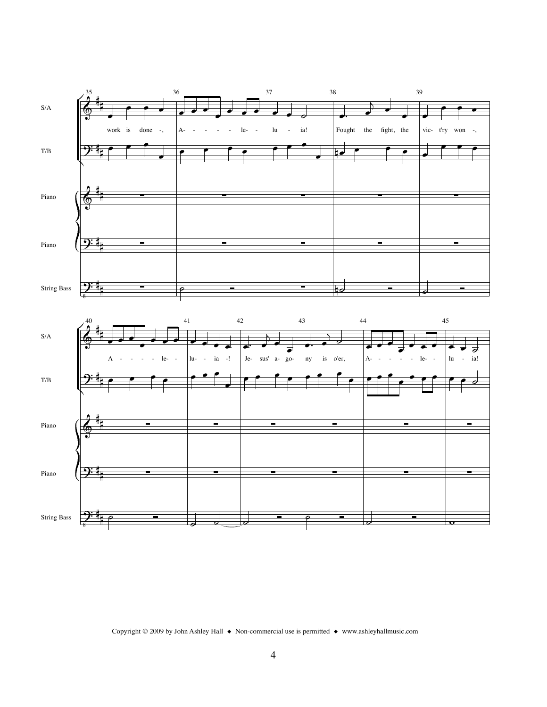

Copyright © 2009 by John Ashley Hall  $\bullet$  Non-commercial use is permitted  $\bullet$  www.ashleyhallmusic.com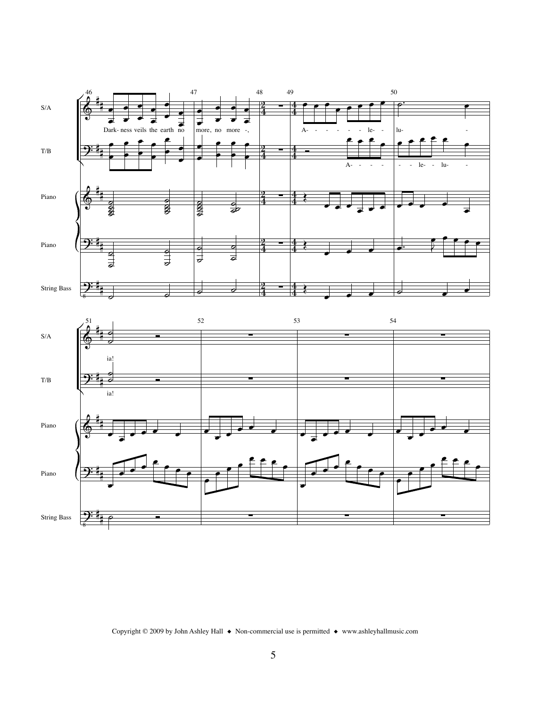

Copyright © 2009 by John Ashley Hall ◆ Non-commercial use is permitted ◆ www.ashleyhallmusic.com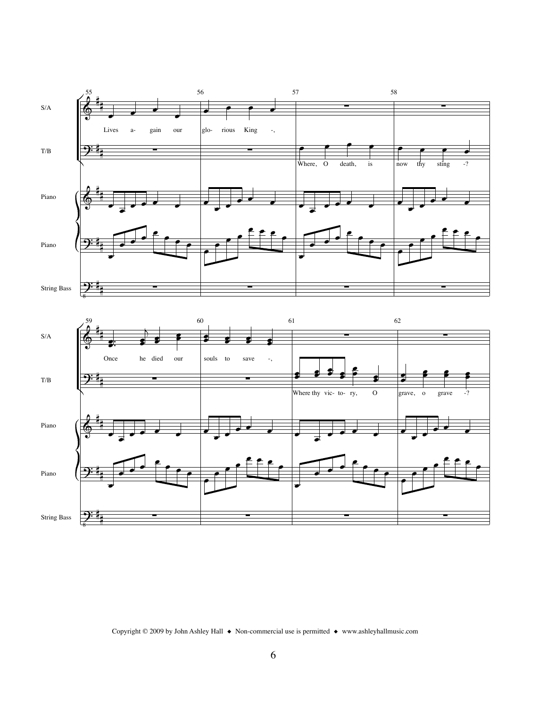



Copyright © 2009 by John Ashley Hall  $\bullet$  Non-commercial use is permitted  $\bullet$  www.ashleyhallmusic.com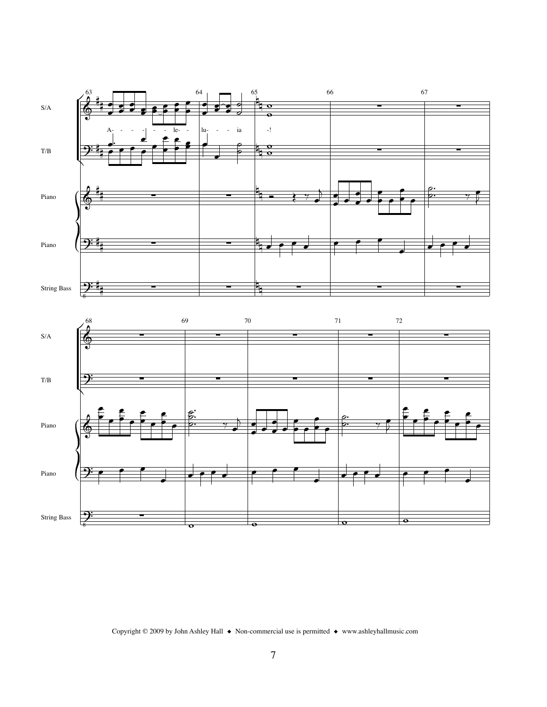

Copyright © 2009 by John Ashley Hall  $\bullet$  Non-commercial use is permitted  $\bullet$  www.ashleyhallmusic.com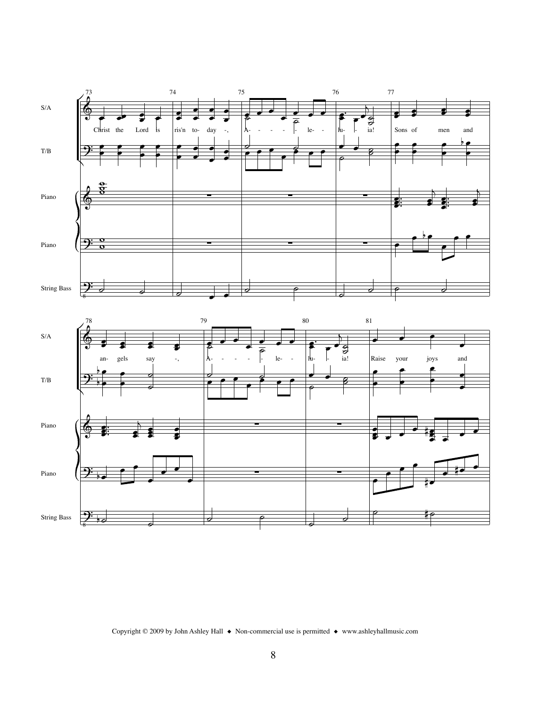



Copyright © 2009 by John Ashley Hall  $\bullet$  Non-commercial use is permitted  $\bullet$  www.ashleyhallmusic.com